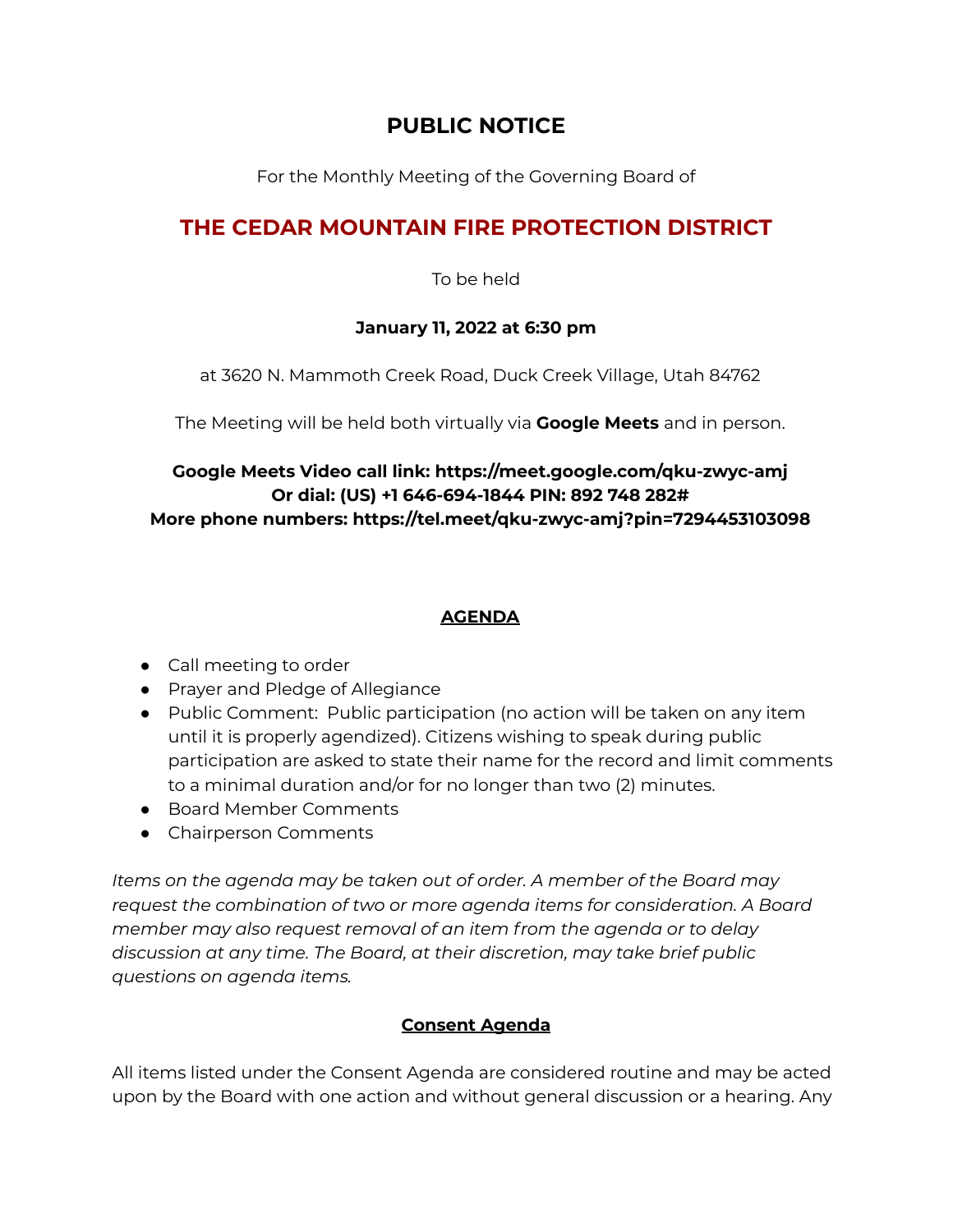## **PUBLIC NOTICE**

For the Monthly Meeting of the Governing Board of

# **THE CEDAR MOUNTAIN FIRE PROTECTION DISTRICT**

To be held

#### **January 11, 2022 at 6:30 pm**

at 3620 N. Mammoth Creek Road, Duck Creek Village, Utah 84762

The Meeting will be held both virtually via **Google Meets** and in person.

## **Google Meets Video call link: https://meet.google.com/qku-zwyc-amj Or dial: (US) +1 646-694-1844 PIN: 892 748 282# More phone numbers: https://tel.meet/qku-zwyc-amj?pin=7294453103098**

#### **AGENDA**

- Call meeting to order
- Prayer and Pledge of Allegiance
- Public Comment: Public participation (no action will be taken on any item until it is properly agendized). Citizens wishing to speak during public participation are asked to state their name for the record and limit comments to a minimal duration and/or for no longer than two (2) minutes.
- Board Member Comments
- Chairperson Comments

*Items on the agenda may be taken out of order. A member of the Board may request the combination of two or more agenda items for consideration. A Board member may also request removal of an item from the agenda or to delay discussion at any time. The Board, at their discretion, may take brief public questions on agenda items.*

## **Consent Agenda**

All items listed under the Consent Agenda are considered routine and may be acted upon by the Board with one action and without general discussion or a hearing. Any